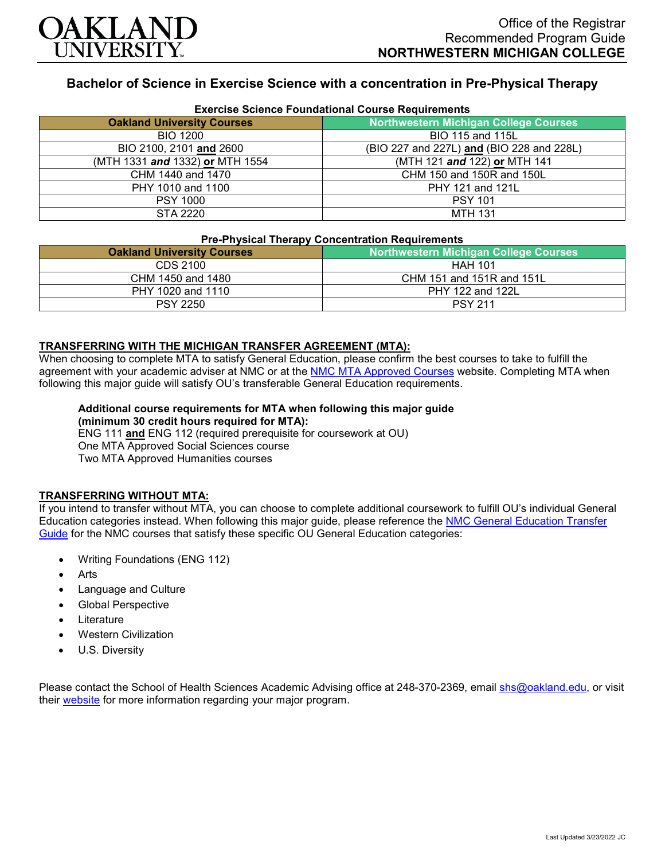

# **Bachelor of Science in Exercise Science with a concentration in Pre-Physical Therapy**

| <b>Exercise Science Foundational Course Requirements</b> |                                              |
|----------------------------------------------------------|----------------------------------------------|
| <b>Oakland University Courses</b>                        | <b>Northwestern Michigan College Courses</b> |
| <b>BIO 1200</b>                                          | BIO 115 and 115L                             |
| BIO 2100, 2101 and 2600                                  | (BIO 227 and 227L) and (BIO 228 and 228L)    |
| (MTH 1331 and 1332) or MTH 1554                          | (MTH 121 and 122) or MTH 141                 |
| CHM 1440 and 1470                                        | CHM 150 and 150R and 150L                    |
| PHY 1010 and 1100                                        | PHY 121 and 121L                             |
| <b>PSY 1000</b>                                          | <b>PSY 101</b>                               |
| <b>STA 2220</b>                                          | <b>MTH 131</b>                               |

### **Pre-Physical Therapy Concentration Requirements**

| <b>FIG-FIIVSICAL LIIGLAPY CONCENTRATION NEQUITENIERS</b> |                                              |
|----------------------------------------------------------|----------------------------------------------|
| <b>Oakland University Courses</b>                        | <b>Northwestern Michigan College Courses</b> |
| CDS 2100                                                 | <b>HAH 101</b>                               |
| CHM 1450 and 1480                                        | CHM 151 and 151R and 151L                    |
| PHY 1020 and 1110                                        | PHY 122 and 122L                             |
| <b>PSY 2250</b>                                          | <b>PSY 211</b>                               |

### **TRANSFERRING WITH THE MICHIGAN TRANSFER AGREEMENT (MTA):**

When choosing to complete MTA to satisfy General Education, please confirm the best courses to take to fulfill the agreement with your academic adviser at NMC or at the [NMC MTA Approved Courses](https://www.nmc.edu/programs/course-descriptions/group-1-courses-for-mta.pdf) website. Completing MTA when following this major guide will satisfy OU's transferable General Education requirements.

#### **Additional course requirements for MTA when following this major guide (minimum 30 credit hours required for MTA):**

ENG 111 **and** ENG 112 (required prerequisite for coursework at OU) One MTA Approved Social Sciences course Two MTA Approved Humanities courses

### **TRANSFERRING WITHOUT MTA:**

If you intend to transfer without MTA, you can choose to complete additional coursework to fulfill OU's individual General Education categories instead. When following this major guide, please reference the [NMC General Education Transfer](https://www.oakland.edu/Assets/Oakland/program-guides/northwestern-michigan-college/university-general-education-requirements/Northwestern%20Gen%20Ed.pdf)  [Guide](https://www.oakland.edu/Assets/Oakland/program-guides/northwestern-michigan-college/university-general-education-requirements/Northwestern%20Gen%20Ed.pdf) for the NMC courses that satisfy these specific OU General Education categories:

- Writing Foundations (ENG 112)
- **Arts**
- Language and Culture
- Global Perspective
- **Literature**
- Western Civilization
- U.S. Diversity

Please contact the School of Health Sciences Academic Advising office at 248-370-2369, email [shs@oakland.edu,](mailto:shs@oakland.edu) or visit their [website](http://www.oakland.edu/shs/advising) for more information regarding your major program.